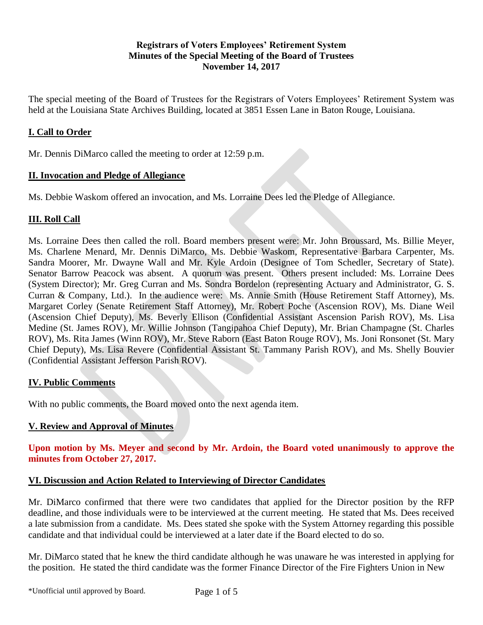## **Registrars of Voters Employees' Retirement System Minutes of the Special Meeting of the Board of Trustees November 14, 2017**

The special meeting of the Board of Trustees for the Registrars of Voters Employees' Retirement System was held at the Louisiana State Archives Building, located at 3851 Essen Lane in Baton Rouge, Louisiana.

# **I. Call to Order**

Mr. Dennis DiMarco called the meeting to order at 12:59 p.m.

#### **II. Invocation and Pledge of Allegiance**

Ms. Debbie Waskom offered an invocation, and Ms. Lorraine Dees led the Pledge of Allegiance.

## **III. Roll Call**

Ms. Lorraine Dees then called the roll. Board members present were: Mr. John Broussard, Ms. Billie Meyer, Ms. Charlene Menard, Mr. Dennis DiMarco, Ms. Debbie Waskom, Representative Barbara Carpenter, Ms. Sandra Moorer, Mr. Dwayne Wall and Mr. Kyle Ardoin (Designee of Tom Schedler, Secretary of State). Senator Barrow Peacock was absent. A quorum was present. Others present included: Ms. Lorraine Dees (System Director); Mr. Greg Curran and Ms. Sondra Bordelon (representing Actuary and Administrator, G. S. Curran & Company, Ltd.). In the audience were: Ms. Annie Smith (House Retirement Staff Attorney), Ms. Margaret Corley (Senate Retirement Staff Attorney), Mr. Robert Poche (Ascension ROV), Ms. Diane Weil (Ascension Chief Deputy), Ms. Beverly Ellison (Confidential Assistant Ascension Parish ROV), Ms. Lisa Medine (St. James ROV), Mr. Willie Johnson (Tangipahoa Chief Deputy), Mr. Brian Champagne (St. Charles ROV), Ms. Rita James (Winn ROV), Mr. Steve Raborn (East Baton Rouge ROV), Ms. Joni Ronsonet (St. Mary Chief Deputy), Ms. Lisa Revere (Confidential Assistant St. Tammany Parish ROV), and Ms. Shelly Bouvier (Confidential Assistant Jefferson Parish ROV).

#### **IV. Public Comments**

With no public comments, the Board moved onto the next agenda item.

## **V. Review and Approval of Minutes**

**Upon motion by Ms. Meyer and second by Mr. Ardoin, the Board voted unanimously to approve the minutes from October 27, 2017.** 

## **VI. Discussion and Action Related to Interviewing of Director Candidates**

Mr. DiMarco confirmed that there were two candidates that applied for the Director position by the RFP deadline, and those individuals were to be interviewed at the current meeting. He stated that Ms. Dees received a late submission from a candidate. Ms. Dees stated she spoke with the System Attorney regarding this possible candidate and that individual could be interviewed at a later date if the Board elected to do so.

Mr. DiMarco stated that he knew the third candidate although he was unaware he was interested in applying for the position. He stated the third candidate was the former Finance Director of the Fire Fighters Union in New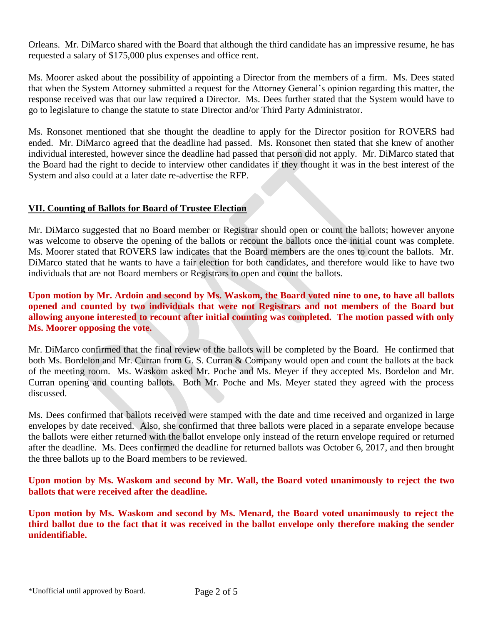Orleans. Mr. DiMarco shared with the Board that although the third candidate has an impressive resume, he has requested a salary of \$175,000 plus expenses and office rent.

Ms. Moorer asked about the possibility of appointing a Director from the members of a firm. Ms. Dees stated that when the System Attorney submitted a request for the Attorney General's opinion regarding this matter, the response received was that our law required a Director. Ms. Dees further stated that the System would have to go to legislature to change the statute to state Director and/or Third Party Administrator.

Ms. Ronsonet mentioned that she thought the deadline to apply for the Director position for ROVERS had ended. Mr. DiMarco agreed that the deadline had passed. Ms. Ronsonet then stated that she knew of another individual interested, however since the deadline had passed that person did not apply. Mr. DiMarco stated that the Board had the right to decide to interview other candidates if they thought it was in the best interest of the System and also could at a later date re-advertise the RFP.

## **VII. Counting of Ballots for Board of Trustee Election**

Mr. DiMarco suggested that no Board member or Registrar should open or count the ballots; however anyone was welcome to observe the opening of the ballots or recount the ballots once the initial count was complete. Ms. Moorer stated that ROVERS law indicates that the Board members are the ones to count the ballots. Mr. DiMarco stated that he wants to have a fair election for both candidates, and therefore would like to have two individuals that are not Board members or Registrars to open and count the ballots.

**Upon motion by Mr. Ardoin and second by Ms. Waskom, the Board voted nine to one, to have all ballots opened and counted by two individuals that were not Registrars and not members of the Board but allowing anyone interested to recount after initial counting was completed. The motion passed with only Ms. Moorer opposing the vote.**

Mr. DiMarco confirmed that the final review of the ballots will be completed by the Board. He confirmed that both Ms. Bordelon and Mr. Curran from G. S. Curran & Company would open and count the ballots at the back of the meeting room. Ms. Waskom asked Mr. Poche and Ms. Meyer if they accepted Ms. Bordelon and Mr. Curran opening and counting ballots. Both Mr. Poche and Ms. Meyer stated they agreed with the process discussed.

Ms. Dees confirmed that ballots received were stamped with the date and time received and organized in large envelopes by date received. Also, she confirmed that three ballots were placed in a separate envelope because the ballots were either returned with the ballot envelope only instead of the return envelope required or returned after the deadline. Ms. Dees confirmed the deadline for returned ballots was October 6, 2017, and then brought the three ballots up to the Board members to be reviewed.

**Upon motion by Ms. Waskom and second by Mr. Wall, the Board voted unanimously to reject the two ballots that were received after the deadline.**

**Upon motion by Ms. Waskom and second by Ms. Menard, the Board voted unanimously to reject the third ballot due to the fact that it was received in the ballot envelope only therefore making the sender unidentifiable.**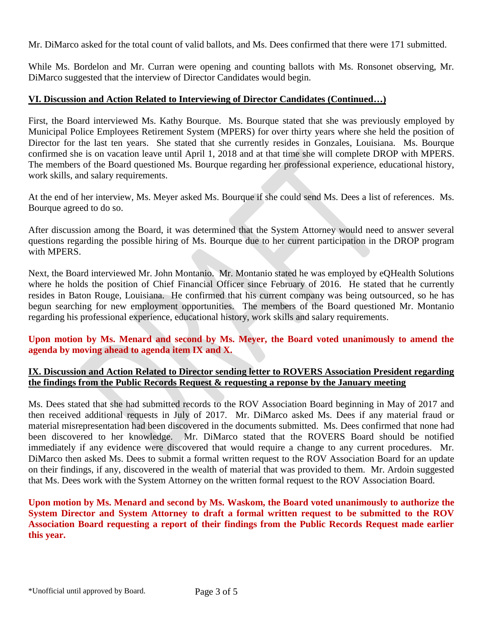Mr. DiMarco asked for the total count of valid ballots, and Ms. Dees confirmed that there were 171 submitted.

While Ms. Bordelon and Mr. Curran were opening and counting ballots with Ms. Ronsonet observing, Mr. DiMarco suggested that the interview of Director Candidates would begin.

## **VI. Discussion and Action Related to Interviewing of Director Candidates (Continued…)**

First, the Board interviewed Ms. Kathy Bourque. Ms. Bourque stated that she was previously employed by Municipal Police Employees Retirement System (MPERS) for over thirty years where she held the position of Director for the last ten years. She stated that she currently resides in Gonzales, Louisiana. Ms. Bourque confirmed she is on vacation leave until April 1, 2018 and at that time she will complete DROP with MPERS. The members of the Board questioned Ms. Bourque regarding her professional experience, educational history, work skills, and salary requirements.

At the end of her interview, Ms. Meyer asked Ms. Bourque if she could send Ms. Dees a list of references. Ms. Bourque agreed to do so.

After discussion among the Board, it was determined that the System Attorney would need to answer several questions regarding the possible hiring of Ms. Bourque due to her current participation in the DROP program with MPERS.

Next, the Board interviewed Mr. John Montanio. Mr. Montanio stated he was employed by eQHealth Solutions where he holds the position of Chief Financial Officer since February of 2016. He stated that he currently resides in Baton Rouge, Louisiana. He confirmed that his current company was being outsourced, so he has begun searching for new employment opportunities. The members of the Board questioned Mr. Montanio regarding his professional experience, educational history, work skills and salary requirements.

## **Upon motion by Ms. Menard and second by Ms. Meyer, the Board voted unanimously to amend the agenda by moving ahead to agenda item IX and X.**

## **IX. Discussion and Action Related to Director sending letter to ROVERS Association President regarding the findings from the Public Records Request & requesting a reponse by the January meeting**

Ms. Dees stated that she had submitted records to the ROV Association Board beginning in May of 2017 and then received additional requests in July of 2017. Mr. DiMarco asked Ms. Dees if any material fraud or material misrepresentation had been discovered in the documents submitted. Ms. Dees confirmed that none had been discovered to her knowledge. Mr. DiMarco stated that the ROVERS Board should be notified immediately if any evidence were discovered that would require a change to any current procedures. Mr. DiMarco then asked Ms. Dees to submit a formal written request to the ROV Association Board for an update on their findings, if any, discovered in the wealth of material that was provided to them. Mr. Ardoin suggested that Ms. Dees work with the System Attorney on the written formal request to the ROV Association Board.

**Upon motion by Ms. Menard and second by Ms. Waskom, the Board voted unanimously to authorize the System Director and System Attorney to draft a formal written request to be submitted to the ROV Association Board requesting a report of their findings from the Public Records Request made earlier this year.**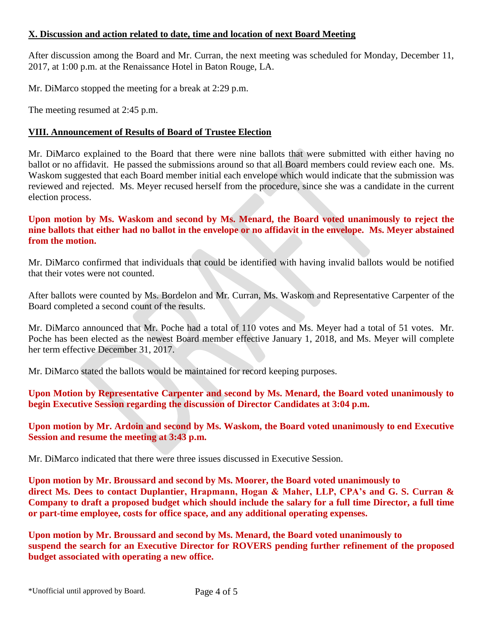## **X. Discussion and action related to date, time and location of next Board Meeting**

After discussion among the Board and Mr. Curran, the next meeting was scheduled for Monday, December 11, 2017, at 1:00 p.m. at the Renaissance Hotel in Baton Rouge, LA.

Mr. DiMarco stopped the meeting for a break at 2:29 p.m.

The meeting resumed at 2:45 p.m.

# **VIII. Announcement of Results of Board of Trustee Election**

Mr. DiMarco explained to the Board that there were nine ballots that were submitted with either having no ballot or no affidavit. He passed the submissions around so that all Board members could review each one. Ms. Waskom suggested that each Board member initial each envelope which would indicate that the submission was reviewed and rejected. Ms. Meyer recused herself from the procedure, since she was a candidate in the current election process.

### **Upon motion by Ms. Waskom and second by Ms. Menard, the Board voted unanimously to reject the nine ballots that either had no ballot in the envelope or no affidavit in the envelope. Ms. Meyer abstained from the motion.**

Mr. DiMarco confirmed that individuals that could be identified with having invalid ballots would be notified that their votes were not counted.

After ballots were counted by Ms. Bordelon and Mr. Curran, Ms. Waskom and Representative Carpenter of the Board completed a second count of the results.

Mr. DiMarco announced that Mr. Poche had a total of 110 votes and Ms. Meyer had a total of 51 votes. Mr. Poche has been elected as the newest Board member effective January 1, 2018, and Ms. Meyer will complete her term effective December 31, 2017.

Mr. DiMarco stated the ballots would be maintained for record keeping purposes.

**Upon Motion by Representative Carpenter and second by Ms. Menard, the Board voted unanimously to begin Executive Session regarding the discussion of Director Candidates at 3:04 p.m.**

**Upon motion by Mr. Ardoin and second by Ms. Waskom, the Board voted unanimously to end Executive Session and resume the meeting at 3:43 p.m.**

Mr. DiMarco indicated that there were three issues discussed in Executive Session.

**Upon motion by Mr. Broussard and second by Ms. Moorer, the Board voted unanimously to direct Ms. Dees to contact Duplantier, Hrapmann, Hogan & Maher, LLP, CPA's and G. S. Curran & Company to draft a proposed budget which should include the salary for a full time Director, a full time or part-time employee, costs for office space, and any additional operating expenses.**

**Upon motion by Mr. Broussard and second by Ms. Menard, the Board voted unanimously to suspend the search for an Executive Director for ROVERS pending further refinement of the proposed budget associated with operating a new office.**